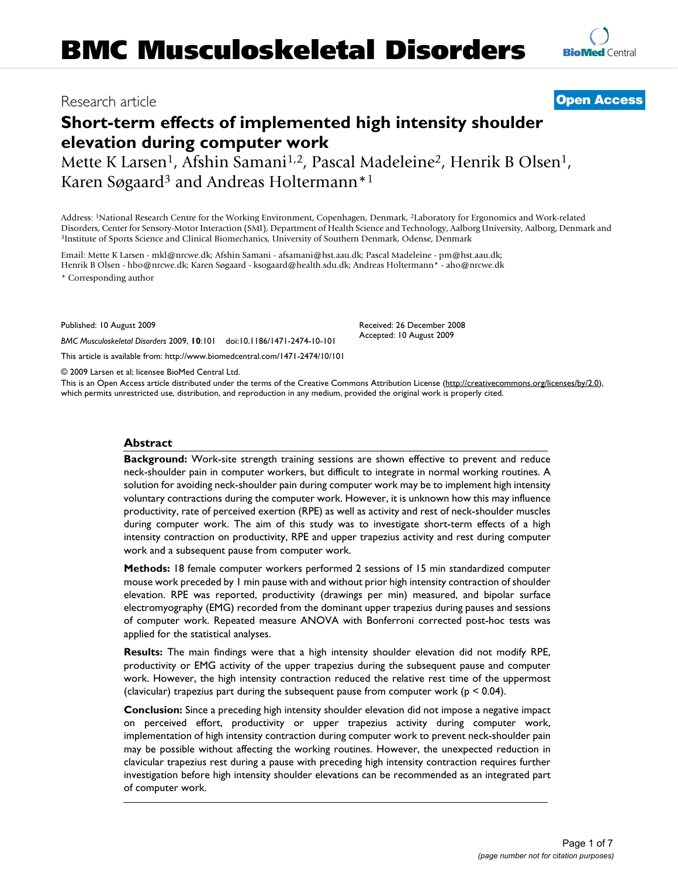# Research article **[Open Access](http://www.biomedcentral.com/info/about/charter/)**

# **Short-term effects of implemented high intensity shoulder elevation during computer work**

Mette K Larsen<sup>1</sup>, Afshin Samani<sup>1,2</sup>, Pascal Madeleine<sup>2</sup>, Henrik B Olsen<sup>1</sup>, Karen Søgaard<sup>3</sup> and Andreas Holtermann\*<sup>1</sup>

Address: 1National Research Centre for the Working Environment, Copenhagen, Denmark, 2Laboratory for Ergonomics and Work-related Disorders, Center for Sensory-Motor Interaction (SMI), Department of Health Science and Technology, Aalborg University, Aalborg, Denmark and 3Institute of Sports Science and Clinical Biomechanics, University of Southern De

Email: Mette K Larsen - mkl@nrcwe.dk; Afshin Samani - afsamani@hst.aau.dk; Pascal Madeleine - pm@hst.aau.dk; Henrik B Olsen - hbo@nrcwe.dk; Karen Søgaard - ksogaard@health.sdu.dk; Andreas Holtermann\* - aho@nrcwe.dk \* Corresponding author

Published: 10 August 2009

*BMC Musculoskeletal Disorders* 2009, **10**:101 doi:10.1186/1471-2474-10-101 [This article is available from: http://www.biomedcentral.com/1471-2474/10/101](http://www.biomedcentral.com/1471-2474/10/101)

© 2009 Larsen et al; licensee BioMed Central Ltd.

This is an Open Access article distributed under the terms of the Creative Commons Attribution License [\(http://creativecommons.org/licenses/by/2.0\)](http://creativecommons.org/licenses/by/2.0), which permits unrestricted use, distribution, and reproduction in any medium, provided the original work is properly cited.

Received: 26 December 2008 Accepted: 10 August 2009

#### **Abstract**

**Background:** Work-site strength training sessions are shown effective to prevent and reduce neck-shoulder pain in computer workers, but difficult to integrate in normal working routines. A solution for avoiding neck-shoulder pain during computer work may be to implement high intensity voluntary contractions during the computer work. However, it is unknown how this may influence productivity, rate of perceived exertion (RPE) as well as activity and rest of neck-shoulder muscles during computer work. The aim of this study was to investigate short-term effects of a high intensity contraction on productivity, RPE and upper trapezius activity and rest during computer work and a subsequent pause from computer work.

**Methods:** 18 female computer workers performed 2 sessions of 15 min standardized computer mouse work preceded by 1 min pause with and without prior high intensity contraction of shoulder elevation. RPE was reported, productivity (drawings per min) measured, and bipolar surface electromyography (EMG) recorded from the dominant upper trapezius during pauses and sessions of computer work. Repeated measure ANOVA with Bonferroni corrected post-hoc tests was applied for the statistical analyses.

**Results:** The main findings were that a high intensity shoulder elevation did not modify RPE, productivity or EMG activity of the upper trapezius during the subsequent pause and computer work. However, the high intensity contraction reduced the relative rest time of the uppermost (clavicular) trapezius part during the subsequent pause from computer work ( $p < 0.04$ ).

**Conclusion:** Since a preceding high intensity shoulder elevation did not impose a negative impact on perceived effort, productivity or upper trapezius activity during computer work, implementation of high intensity contraction during computer work to prevent neck-shoulder pain may be possible without affecting the working routines. However, the unexpected reduction in clavicular trapezius rest during a pause with preceding high intensity contraction requires further investigation before high intensity shoulder elevations can be recommended as an integrated part of computer work.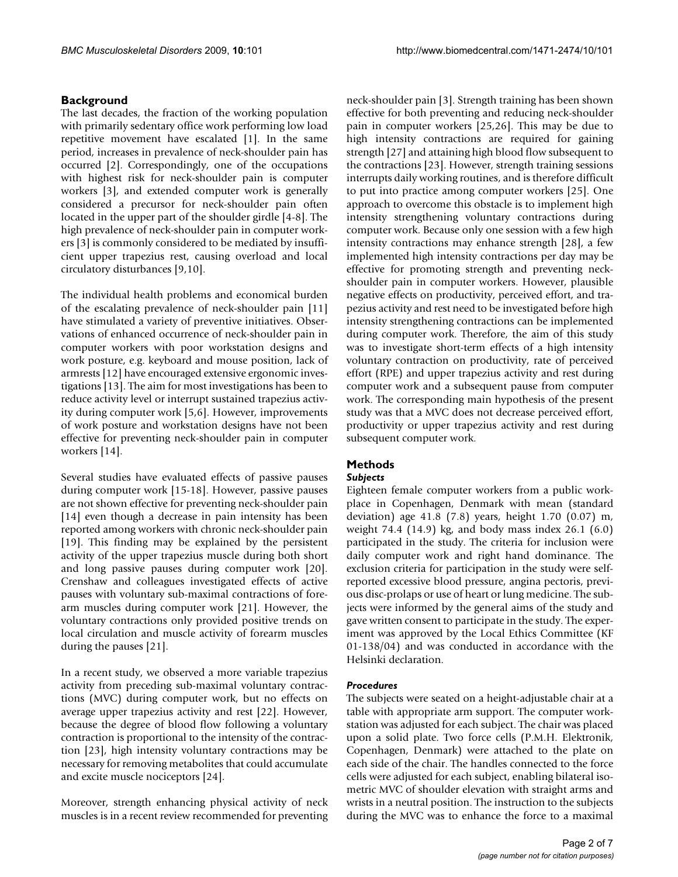# **Background**

The last decades, the fraction of the working population with primarily sedentary office work performing low load repetitive movement have escalated [1]. In the same period, increases in prevalence of neck-shoulder pain has occurred [2]. Correspondingly, one of the occupations with highest risk for neck-shoulder pain is computer workers [3], and extended computer work is generally considered a precursor for neck-shoulder pain often located in the upper part of the shoulder girdle [4-8]. The high prevalence of neck-shoulder pain in computer workers [3] is commonly considered to be mediated by insufficient upper trapezius rest, causing overload and local circulatory disturbances [9,10].

The individual health problems and economical burden of the escalating prevalence of neck-shoulder pain [11] have stimulated a variety of preventive initiatives. Observations of enhanced occurrence of neck-shoulder pain in computer workers with poor workstation designs and work posture, e.g. keyboard and mouse position, lack of armrests [12] have encouraged extensive ergonomic investigations [13]. The aim for most investigations has been to reduce activity level or interrupt sustained trapezius activity during computer work [5,6]. However, improvements of work posture and workstation designs have not been effective for preventing neck-shoulder pain in computer workers [14].

Several studies have evaluated effects of passive pauses during computer work [15-18]. However, passive pauses are not shown effective for preventing neck-shoulder pain [14] even though a decrease in pain intensity has been reported among workers with chronic neck-shoulder pain [19]. This finding may be explained by the persistent activity of the upper trapezius muscle during both short and long passive pauses during computer work [20]. Crenshaw and colleagues investigated effects of active pauses with voluntary sub-maximal contractions of forearm muscles during computer work [21]. However, the voluntary contractions only provided positive trends on local circulation and muscle activity of forearm muscles during the pauses [21].

In a recent study, we observed a more variable trapezius activity from preceding sub-maximal voluntary contractions (MVC) during computer work, but no effects on average upper trapezius activity and rest [22]. However, because the degree of blood flow following a voluntary contraction is proportional to the intensity of the contraction [23], high intensity voluntary contractions may be necessary for removing metabolites that could accumulate and excite muscle nociceptors [24].

Moreover, strength enhancing physical activity of neck muscles is in a recent review recommended for preventing neck-shoulder pain [3]. Strength training has been shown effective for both preventing and reducing neck-shoulder pain in computer workers [25,26]. This may be due to high intensity contractions are required for gaining strength [27] and attaining high blood flow subsequent to the contractions [23]. However, strength training sessions interrupts daily working routines, and is therefore difficult to put into practice among computer workers [25]. One approach to overcome this obstacle is to implement high intensity strengthening voluntary contractions during computer work. Because only one session with a few high intensity contractions may enhance strength [28], a few implemented high intensity contractions per day may be effective for promoting strength and preventing neckshoulder pain in computer workers. However, plausible negative effects on productivity, perceived effort, and trapezius activity and rest need to be investigated before high intensity strengthening contractions can be implemented during computer work. Therefore, the aim of this study was to investigate short-term effects of a high intensity voluntary contraction on productivity, rate of perceived effort (RPE) and upper trapezius activity and rest during computer work and a subsequent pause from computer work. The corresponding main hypothesis of the present study was that a MVC does not decrease perceived effort, productivity or upper trapezius activity and rest during subsequent computer work.

# **Methods**

# *Subjects*

Eighteen female computer workers from a public workplace in Copenhagen, Denmark with mean (standard deviation) age 41.8 (7.8) years, height 1.70 (0.07) m, weight 74.4 (14.9) kg, and body mass index 26.1 (6.0) participated in the study. The criteria for inclusion were daily computer work and right hand dominance. The exclusion criteria for participation in the study were selfreported excessive blood pressure, angina pectoris, previous disc-prolaps or use of heart or lung medicine. The subjects were informed by the general aims of the study and gave written consent to participate in the study. The experiment was approved by the Local Ethics Committee (KF 01-138/04) and was conducted in accordance with the Helsinki declaration.

#### *Procedures*

The subjects were seated on a height-adjustable chair at a table with appropriate arm support. The computer workstation was adjusted for each subject. The chair was placed upon a solid plate. Two force cells (P.M.H. Elektronik, Copenhagen, Denmark) were attached to the plate on each side of the chair. The handles connected to the force cells were adjusted for each subject, enabling bilateral isometric MVC of shoulder elevation with straight arms and wrists in a neutral position. The instruction to the subjects during the MVC was to enhance the force to a maximal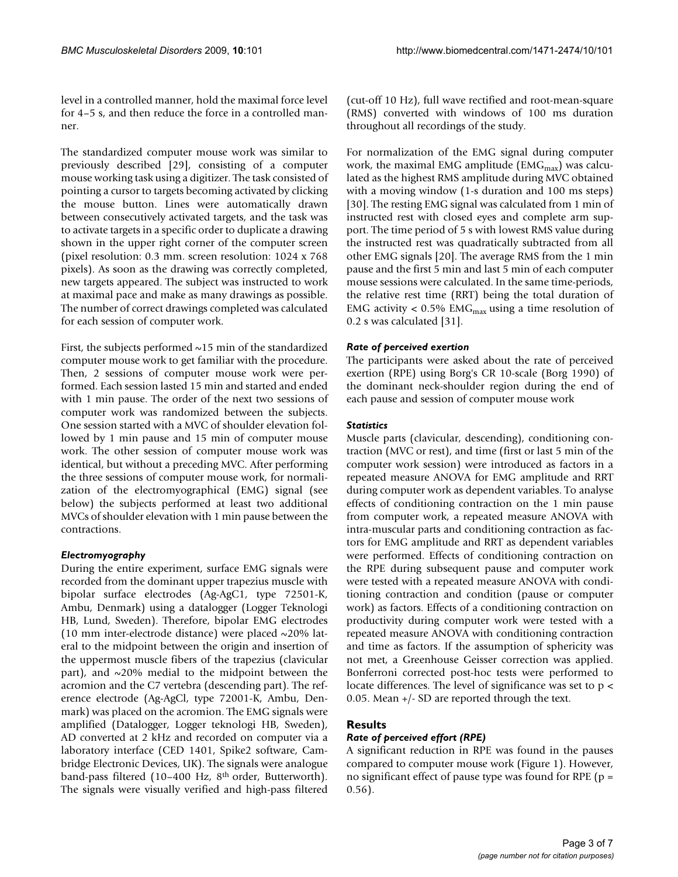level in a controlled manner, hold the maximal force level for 4–5 s, and then reduce the force in a controlled manner.

The standardized computer mouse work was similar to previously described [29], consisting of a computer mouse working task using a digitizer. The task consisted of pointing a cursor to targets becoming activated by clicking the mouse button. Lines were automatically drawn between consecutively activated targets, and the task was to activate targets in a specific order to duplicate a drawing shown in the upper right corner of the computer screen (pixel resolution: 0.3 mm. screen resolution: 1024 x 768 pixels). As soon as the drawing was correctly completed, new targets appeared. The subject was instructed to work at maximal pace and make as many drawings as possible. The number of correct drawings completed was calculated for each session of computer work.

First, the subjects performed  $\sim$ 15 min of the standardized computer mouse work to get familiar with the procedure. Then, 2 sessions of computer mouse work were performed. Each session lasted 15 min and started and ended with 1 min pause. The order of the next two sessions of computer work was randomized between the subjects. One session started with a MVC of shoulder elevation followed by 1 min pause and 15 min of computer mouse work. The other session of computer mouse work was identical, but without a preceding MVC. After performing the three sessions of computer mouse work, for normalization of the electromyographical (EMG) signal (see below) the subjects performed at least two additional MVCs of shoulder elevation with 1 min pause between the contractions.

# *Electromyography*

During the entire experiment, surface EMG signals were recorded from the dominant upper trapezius muscle with bipolar surface electrodes (Ag-AgC1, type 72501-K, Ambu, Denmark) using a datalogger (Logger Teknologi HB, Lund, Sweden). Therefore, bipolar EMG electrodes (10 mm inter-electrode distance) were placed  $\sim$ 20% lateral to the midpoint between the origin and insertion of the uppermost muscle fibers of the trapezius (clavicular part), and  $\sim$ 20% medial to the midpoint between the acromion and the C7 vertebra (descending part). The reference electrode (Ag-AgCl, type 72001-K, Ambu, Denmark) was placed on the acromion. The EMG signals were amplified (Datalogger, Logger teknologi HB, Sweden), AD converted at 2 kHz and recorded on computer via a laboratory interface (CED 1401, Spike2 software, Cambridge Electronic Devices, UK). The signals were analogue band-pass filtered (10-400 Hz, 8<sup>th</sup> order, Butterworth). The signals were visually verified and high-pass filtered

(cut-off 10 Hz), full wave rectified and root-mean-square (RMS) converted with windows of 100 ms duration throughout all recordings of the study.

For normalization of the EMG signal during computer work, the maximal EMG amplitude (EMG $_{\text{max}}$ ) was calculated as the highest RMS amplitude during MVC obtained with a moving window (1-s duration and 100 ms steps) [30]. The resting EMG signal was calculated from 1 min of instructed rest with closed eyes and complete arm support. The time period of 5 s with lowest RMS value during the instructed rest was quadratically subtracted from all other EMG signals [20]. The average RMS from the 1 min pause and the first 5 min and last 5 min of each computer mouse sessions were calculated. In the same time-periods, the relative rest time (RRT) being the total duration of EMG activity  $< 0.5\%$  EMG<sub>max</sub> using a time resolution of 0.2 s was calculated [31].

# *Rate of perceived exertion*

The participants were asked about the rate of perceived exertion (RPE) using Borg's CR 10-scale (Borg 1990) of the dominant neck-shoulder region during the end of each pause and session of computer mouse work

## *Statistics*

Muscle parts (clavicular, descending), conditioning contraction (MVC or rest), and time (first or last 5 min of the computer work session) were introduced as factors in a repeated measure ANOVA for EMG amplitude and RRT during computer work as dependent variables. To analyse effects of conditioning contraction on the 1 min pause from computer work, a repeated measure ANOVA with intra-muscular parts and conditioning contraction as factors for EMG amplitude and RRT as dependent variables were performed. Effects of conditioning contraction on the RPE during subsequent pause and computer work were tested with a repeated measure ANOVA with conditioning contraction and condition (pause or computer work) as factors. Effects of a conditioning contraction on productivity during computer work were tested with a repeated measure ANOVA with conditioning contraction and time as factors. If the assumption of sphericity was not met, a Greenhouse Geisser correction was applied. Bonferroni corrected post-hoc tests were performed to locate differences. The level of significance was set to p < 0.05. Mean +/- SD are reported through the text.

# **Results**

# *Rate of perceived effort (RPE)*

A significant reduction in RPE was found in the pauses compared to computer mouse work (Figure 1). However, no significant effect of pause type was found for RPE (p = 0.56).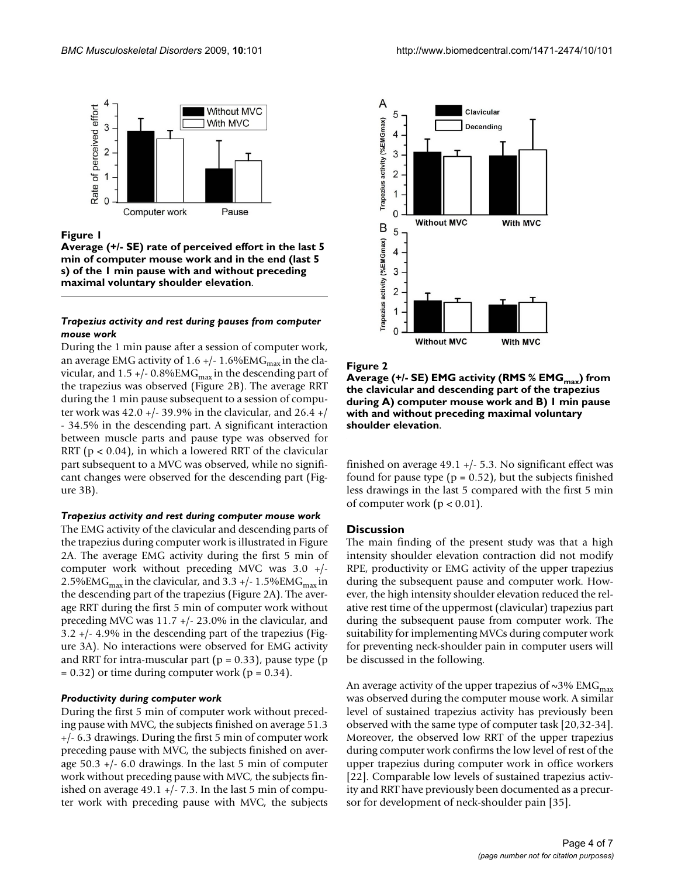

#### Figure I

**Average (+/- SE) rate of perceived effort in the last 5 min of computer mouse work and in the end (last 5 s) of the 1 min pause with and without preceding maximal voluntary shoulder elevation**.

### *Trapezius activity and rest during pauses from computer mouse work*

During the 1 min pause after a session of computer work, an average EMG activity of 1.6 +/- 1.6% EMG<sub>max</sub> in the clavicular, and  $1.5 +$ /-0.8%EMG<sub>max</sub> in the descending part of the trapezius was observed (Figure 2B). The average RRT during the 1 min pause subsequent to a session of computer work was  $42.0 + (-39.9\% \text{ in the clavicular, and } 26.4 + (-19.9 \text{ m})$ - 34.5% in the descending part. A significant interaction between muscle parts and pause type was observed for RRT (p < 0.04), in which a lowered RRT of the clavicular part subsequent to a MVC was observed, while no significant changes were observed for the descending part (Figure 3B).

#### *Trapezius activity and rest during computer mouse work*

The EMG activity of the clavicular and descending parts of the trapezius during computer work is illustrated in Figure 2A. The average EMG activity during the first 5 min of computer work without preceding MVC was 3.0 +/- 2.5%EMG<sub>max</sub> in the clavicular, and 3.3 +/- 1.5%EMG<sub>max</sub> in the descending part of the trapezius (Figure 2A). The average RRT during the first 5 min of computer work without preceding MVC was 11.7 +/- 23.0% in the clavicular, and 3.2 +/- 4.9% in the descending part of the trapezius (Figure 3A). No interactions were observed for EMG activity and RRT for intra-muscular part ( $p = 0.33$ ), pause type ( $p = 0.33$ )  $= 0.32$ ) or time during computer work ( $p = 0.34$ ).

#### *Productivity during computer work*

During the first 5 min of computer work without preceding pause with MVC, the subjects finished on average 51.3 +/- 6.3 drawings. During the first 5 min of computer work preceding pause with MVC, the subjects finished on average  $50.3 +$   $\frac{1}{6}$ .0 drawings. In the last 5 min of computer work without preceding pause with MVC, the subjects finished on average 49.1  $+/- 7.3$ . In the last 5 min of computer work with preceding pause with MVC, the subjects





**Figure 2** 

Average (+/- SE) EMG activity (RMS % EMG<sub>max</sub>) from **the clavicular and descending part of the trapezius during A) computer mouse work and B) 1 min pause with and without preceding maximal voluntary shoulder elevation**.

finished on average 49.1 +/- 5.3. No significant effect was found for pause type ( $p = 0.52$ ), but the subjects finished less drawings in the last 5 compared with the first 5 min of computer work ( $p < 0.01$ ).

#### **Discussion**

The main finding of the present study was that a high intensity shoulder elevation contraction did not modify RPE, productivity or EMG activity of the upper trapezius during the subsequent pause and computer work. However, the high intensity shoulder elevation reduced the relative rest time of the uppermost (clavicular) trapezius part during the subsequent pause from computer work. The suitability for implementing MVCs during computer work for preventing neck-shoulder pain in computer users will be discussed in the following.

An average activity of the upper trapezius of  $\sim$ 3% EMG<sub>max</sub> was observed during the computer mouse work. A similar level of sustained trapezius activity has previously been observed with the same type of computer task [20,32-34]. Moreover, the observed low RRT of the upper trapezius during computer work confirms the low level of rest of the upper trapezius during computer work in office workers [22]. Comparable low levels of sustained trapezius activity and RRT have previously been documented as a precursor for development of neck-shoulder pain [35].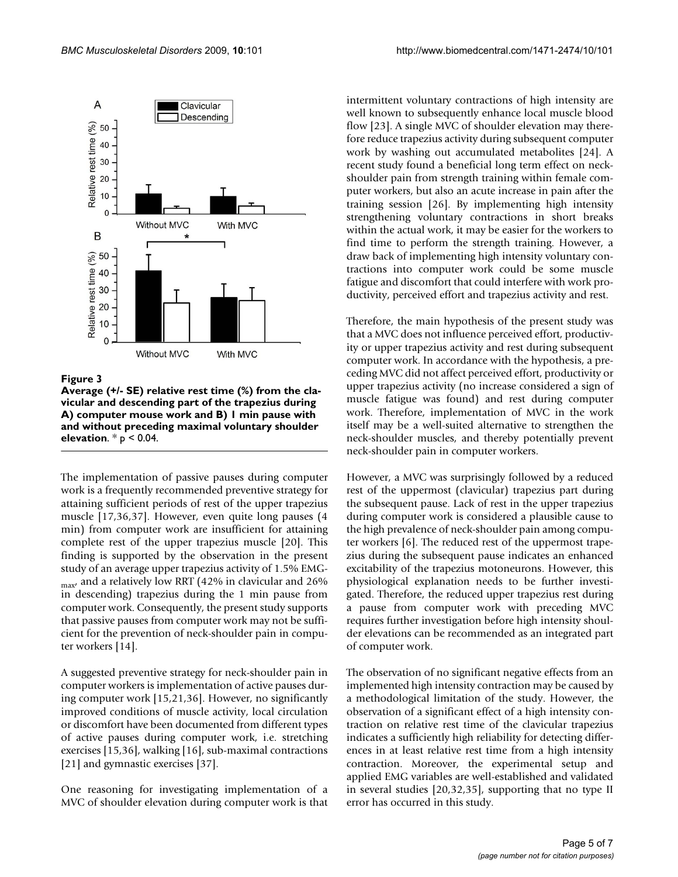

#### Figure 3

**Average (+/- SE) relative rest time (%) from the clavicular and descending part of the trapezius during A) computer mouse work and B) 1 min pause with and without preceding maximal voluntary shoulder elevation**. \* p < 0.04.

The implementation of passive pauses during computer work is a frequently recommended preventive strategy for attaining sufficient periods of rest of the upper trapezius muscle [17,36,37]. However, even quite long pauses (4 min) from computer work are insufficient for attaining complete rest of the upper trapezius muscle [20]. This finding is supported by the observation in the present study of an average upper trapezius activity of 1.5% EMGmax, and a relatively low RRT (42% in clavicular and 26% in descending) trapezius during the 1 min pause from computer work. Consequently, the present study supports that passive pauses from computer work may not be sufficient for the prevention of neck-shoulder pain in computer workers [14].

A suggested preventive strategy for neck-shoulder pain in computer workers is implementation of active pauses during computer work [15,21,36]. However, no significantly improved conditions of muscle activity, local circulation or discomfort have been documented from different types of active pauses during computer work, i.e. stretching exercises [15,36], walking [16], sub-maximal contractions [21] and gymnastic exercises [37].

One reasoning for investigating implementation of a MVC of shoulder elevation during computer work is that

intermittent voluntary contractions of high intensity are well known to subsequently enhance local muscle blood flow [23]. A single MVC of shoulder elevation may therefore reduce trapezius activity during subsequent computer work by washing out accumulated metabolites [24]. A recent study found a beneficial long term effect on neckshoulder pain from strength training within female computer workers, but also an acute increase in pain after the training session [26]. By implementing high intensity strengthening voluntary contractions in short breaks within the actual work, it may be easier for the workers to find time to perform the strength training. However, a draw back of implementing high intensity voluntary contractions into computer work could be some muscle fatigue and discomfort that could interfere with work productivity, perceived effort and trapezius activity and rest.

Therefore, the main hypothesis of the present study was that a MVC does not influence perceived effort, productivity or upper trapezius activity and rest during subsequent computer work. In accordance with the hypothesis, a preceding MVC did not affect perceived effort, productivity or upper trapezius activity (no increase considered a sign of muscle fatigue was found) and rest during computer work. Therefore, implementation of MVC in the work itself may be a well-suited alternative to strengthen the neck-shoulder muscles, and thereby potentially prevent neck-shoulder pain in computer workers.

However, a MVC was surprisingly followed by a reduced rest of the uppermost (clavicular) trapezius part during the subsequent pause. Lack of rest in the upper trapezius during computer work is considered a plausible cause to the high prevalence of neck-shoulder pain among computer workers [6]. The reduced rest of the uppermost trapezius during the subsequent pause indicates an enhanced excitability of the trapezius motoneurons. However, this physiological explanation needs to be further investigated. Therefore, the reduced upper trapezius rest during a pause from computer work with preceding MVC requires further investigation before high intensity shoulder elevations can be recommended as an integrated part of computer work.

The observation of no significant negative effects from an implemented high intensity contraction may be caused by a methodological limitation of the study. However, the observation of a significant effect of a high intensity contraction on relative rest time of the clavicular trapezius indicates a sufficiently high reliability for detecting differences in at least relative rest time from a high intensity contraction. Moreover, the experimental setup and applied EMG variables are well-established and validated in several studies [20,32,35], supporting that no type II error has occurred in this study.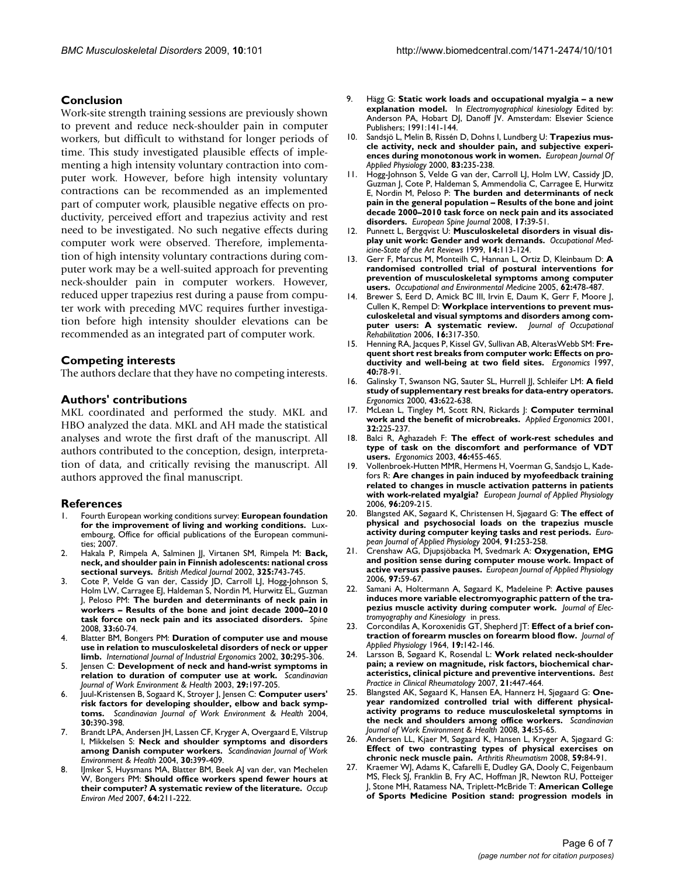## **Conclusion**

Work-site strength training sessions are previously shown to prevent and reduce neck-shoulder pain in computer workers, but difficult to withstand for longer periods of time. This study investigated plausible effects of implementing a high intensity voluntary contraction into computer work. However, before high intensity voluntary contractions can be recommended as an implemented part of computer work, plausible negative effects on productivity, perceived effort and trapezius activity and rest need to be investigated. No such negative effects during computer work were observed. Therefore, implementation of high intensity voluntary contractions during computer work may be a well-suited approach for preventing neck-shoulder pain in computer workers. However, reduced upper trapezius rest during a pause from computer work with preceding MVC requires further investigation before high intensity shoulder elevations can be recommended as an integrated part of computer work.

#### **Competing interests**

The authors declare that they have no competing interests.

#### **Authors' contributions**

MKL coordinated and performed the study. MKL and HBO analyzed the data. MKL and AH made the statistical analyses and wrote the first draft of the manuscript. All authors contributed to the conception, design, interpretation of data, and critically revising the manuscript. All authors approved the final manuscript.

#### **References**

- 1. Fourth European working conditions survey: **European foundation for the improvement of living and working conditions.** Luxembourg, Office for official publications of the European communities; 2007.
- 2. Hakala P, Rimpela A, Salminen JJ, Virtanen SM, Rimpela M: **[Back,](http://www.ncbi.nlm.nih.gov/entrez/query.fcgi?cmd=Retrieve&db=PubMed&dopt=Abstract&list_uids=12364301) [neck, and shoulder pain in Finnish adolescents: national cross](http://www.ncbi.nlm.nih.gov/entrez/query.fcgi?cmd=Retrieve&db=PubMed&dopt=Abstract&list_uids=12364301) [sectional surveys.](http://www.ncbi.nlm.nih.gov/entrez/query.fcgi?cmd=Retrieve&db=PubMed&dopt=Abstract&list_uids=12364301)** *British Medical Journal* 2002, **325:**743-745.
- 3. Cote P, Velde G van der, Cassidy JD, Carroll LJ, Hogg-Johnson S, Holm LW, Carragee EJ, Haldeman S, Nordin M, Hurwitz EL, Guzman J, Peloso PM: **The burden and determinants of neck pain in workers – Results of the bone and joint decade 2000–2010 task force on neck pain and its associated disorders.** *Spine* 2008, **33:**60-74.
- 4. Blatter BM, Bongers PM: **Duration of computer use and mouse use in relation to musculoskeletal disorders of neck or upper limb.** *International Journal of Industrial Ergonomics* 2002, **30:**295-306.
- 5. Jensen C: **Development of neck and hand-wrist symptoms in relation to duration of computer use at work.** *Scandinavian Journal of Work Environment & Health* 2003, **29:**197-205.
- 6. Juul-Kristensen B, Sogaard K, Stroyer J, Jensen C: **Computer users' risk factors for developing shoulder, elbow and back symptoms.** *Scandinavian Journal of Work Environment & Health* 2004, **30:**390-398.
- 7. Brandt LPA, Andersen JH, Lassen CF, Kryger A, Overgaard E, Vilstrup I, Mikkelsen S: **Neck and shoulder symptoms and disorders among Danish computer workers.** *Scandinavian Journal of Work Environment & Health* 2004, **30:**399-409.
- 8. IJmker S, Huysmans MA, Blatter BM, Beek AJ van der, van Mechelen W, Bongers PM: **[Should office workers spend fewer hours at](http://www.ncbi.nlm.nih.gov/entrez/query.fcgi?cmd=Retrieve&db=PubMed&dopt=Abstract&list_uids=17095550) [their computer? A systematic review of the literature.](http://www.ncbi.nlm.nih.gov/entrez/query.fcgi?cmd=Retrieve&db=PubMed&dopt=Abstract&list_uids=17095550)** *Occup Environ Med* 2007, **64:**211-222.
- 9. Hägg G: **Static work loads and occupational myalgia a new explanation model.** In *Electromyographical kinesiology* Edited by: Anderson PA, Hobart DJ, Danoff JV. Amsterdam: Elsevier Science Publishers; 1991:141-144.
- 10. Sandsjö L, Melin B, Rissén D, Dohns I, Lundberg U: **[Trapezius mus](http://www.ncbi.nlm.nih.gov/entrez/query.fcgi?cmd=Retrieve&db=PubMed&dopt=Abstract&list_uids=11104066)[cle activity, neck and shoulder pain, and subjective experi](http://www.ncbi.nlm.nih.gov/entrez/query.fcgi?cmd=Retrieve&db=PubMed&dopt=Abstract&list_uids=11104066)[ences during monotonous work in women.](http://www.ncbi.nlm.nih.gov/entrez/query.fcgi?cmd=Retrieve&db=PubMed&dopt=Abstract&list_uids=11104066)** *European Journal Of Applied Physiology* 2000, **83:**235-238.
- 11. Hogg-Johnson S, Velde G van der, Carroll LJ, Holm LW, Cassidy JD, Guzman J, Cote P, Haldeman S, Ammendolia C, Carragee E, Hurwitz E, Nordin M, Peloso P: **The burden and determinants of neck pain in the general population – Results of the bone and joint decade 2000–2010 task force on neck pain and its associated disorders.** *European Spine Journal* 2008, **17:**39-51.
- 12. Punnett L, Bergqvist U: **Musculoskeletal disorders in visual display unit work: Gender and work demands.** *Occupational Medicine-State of the Art Reviews* 1999, **14:**113-124.
- 13. Gerr F, Marcus M, Monteilh C, Hannan L, Ortiz D, Kleinbaum D: **A randomised controlled trial of postural interventions for prevention of musculoskeletal symptoms among computer users.** *Occupational and Environmental Medicine* 2005, **62:**478-487.
- Brewer S, Eerd D, Amick BC III, Irvin E, Daum K, Gerr F, Moore J, Cullen K, Rempel D: **Workplace interventions to prevent musculoskeletal and visual symptoms and disorders among computer users: A systematic review.** *Journal of Occupational Rehabilitation* 2006, **16:**317-350.
- 15. Henning RA, Jacques P, Kissel GV, Sullivan AB, AlterasWebb SM: **[Fre](http://www.ncbi.nlm.nih.gov/entrez/query.fcgi?cmd=Retrieve&db=PubMed&dopt=Abstract&list_uids=8995049)[quent short rest breaks from computer work: Effects on pro](http://www.ncbi.nlm.nih.gov/entrez/query.fcgi?cmd=Retrieve&db=PubMed&dopt=Abstract&list_uids=8995049)[ductivity and well-being at two field sites.](http://www.ncbi.nlm.nih.gov/entrez/query.fcgi?cmd=Retrieve&db=PubMed&dopt=Abstract&list_uids=8995049)** *Ergonomics* 1997, **40:**78-91.
- 16. Galinsky T, Swanson NG, Sauter SL, Hurrell JJ, Schleifer LM: **[A field](http://www.ncbi.nlm.nih.gov/entrez/query.fcgi?cmd=Retrieve&db=PubMed&dopt=Abstract&list_uids=10877480) [study of supplementary rest breaks for data-entry operators.](http://www.ncbi.nlm.nih.gov/entrez/query.fcgi?cmd=Retrieve&db=PubMed&dopt=Abstract&list_uids=10877480)** *Ergonomics* 2000, **43:**622-638.
- 17. McLean L, Tingley M, Scott RN, Rickards J: **[Computer terminal](http://www.ncbi.nlm.nih.gov/entrez/query.fcgi?cmd=Retrieve&db=PubMed&dopt=Abstract&list_uids=11394463) [work and the benefit of microbreaks.](http://www.ncbi.nlm.nih.gov/entrez/query.fcgi?cmd=Retrieve&db=PubMed&dopt=Abstract&list_uids=11394463)** *Applied Ergonomics* 2001, **32:**225-237.
- 18. Balci R, Aghazadeh F: **[The effect of work-rest schedules and](http://www.ncbi.nlm.nih.gov/entrez/query.fcgi?cmd=Retrieve&db=PubMed&dopt=Abstract&list_uids=12745696) [type of task on the discomfort and performance of VDT](http://www.ncbi.nlm.nih.gov/entrez/query.fcgi?cmd=Retrieve&db=PubMed&dopt=Abstract&list_uids=12745696) [users.](http://www.ncbi.nlm.nih.gov/entrez/query.fcgi?cmd=Retrieve&db=PubMed&dopt=Abstract&list_uids=12745696)** *Ergonomics* 2003, **46:**455-465.
- 19. Vollenbroek-Hutten MMR, Hermens H, Voerman G, Sandsjo L, Kadefors R: **[Are changes in pain induced by myofeedback training](http://www.ncbi.nlm.nih.gov/entrez/query.fcgi?cmd=Retrieve&db=PubMed&dopt=Abstract&list_uids=16365785) [related to changes in muscle activation patterns in patients](http://www.ncbi.nlm.nih.gov/entrez/query.fcgi?cmd=Retrieve&db=PubMed&dopt=Abstract&list_uids=16365785) [with work-related myalgia?](http://www.ncbi.nlm.nih.gov/entrez/query.fcgi?cmd=Retrieve&db=PubMed&dopt=Abstract&list_uids=16365785)** *European Journal of Applied Physiology* 2006, **96:**209-215.
- 20. Blangsted AK, Søgaard K, Christensen H, Sjøgaard G: **[The effect of](http://www.ncbi.nlm.nih.gov/entrez/query.fcgi?cmd=Retrieve&db=PubMed&dopt=Abstract&list_uids=14569401) [physical and psychosocial loads on the trapezius muscle](http://www.ncbi.nlm.nih.gov/entrez/query.fcgi?cmd=Retrieve&db=PubMed&dopt=Abstract&list_uids=14569401) [activity during computer keying tasks and rest periods.](http://www.ncbi.nlm.nih.gov/entrez/query.fcgi?cmd=Retrieve&db=PubMed&dopt=Abstract&list_uids=14569401)** *European Journal of Applied Physiology* 2004, **91:**253-258.
- 21. Crenshaw AG, Djupsjöbacka M, Svedmark A: **[Oxygenation, EMG](http://www.ncbi.nlm.nih.gov/entrez/query.fcgi?cmd=Retrieve&db=PubMed&dopt=Abstract&list_uids=16468061) [and position sense during computer mouse work. Impact of](http://www.ncbi.nlm.nih.gov/entrez/query.fcgi?cmd=Retrieve&db=PubMed&dopt=Abstract&list_uids=16468061) [active versus passive pauses.](http://www.ncbi.nlm.nih.gov/entrez/query.fcgi?cmd=Retrieve&db=PubMed&dopt=Abstract&list_uids=16468061)** *European Journal of Applied Physiology* 2006, **97:**59-67.
- 22. Samani A, Holtermann A, Søgaard K, Madeleine P: **Active pauses induces more variable electromyographic pattern of the trapezius muscle activity during computer work.** *Journal of Electromyography and Kinesiology* in press.
- 23. Corcondilas A, Koroxenidis GT, Shepherd JT: **[Effect of a brief con](http://www.ncbi.nlm.nih.gov/entrez/query.fcgi?cmd=Retrieve&db=PubMed&dopt=Abstract&list_uids=14104271)[traction of forearm muscles on forearm blood flow.](http://www.ncbi.nlm.nih.gov/entrez/query.fcgi?cmd=Retrieve&db=PubMed&dopt=Abstract&list_uids=14104271)** *Journal of Applied Physiology* 1964, **19:**142-146.
- 24. Larsson B, Søgaard K, Rosendal L: **Work related neck-shoulder pain; a review on magnitude, risk factors, biochemical characteristics, clinical picture and preventive interventions.** *Best Practice in Clinical Rheumatology* 2007, **21:**447-464.
- 25. Blangsted AK, Søgaard K, Hansen EA, Hannerz H, Sjøgaard G: **Oneyear randomized controlled trial with different physicalactivity programs to reduce musculoskeletal symptoms in the neck and shoulders among office workers.** *Scandinavian Journal of Work Environment & Health* 2008, **34:**55-65.
- 26. Andersen LL, Kjaer M, Søgaard K, Hansen L, Kryger A, Sjøgaard G: **[Effect of two contrasting types of physical exercises on](http://www.ncbi.nlm.nih.gov/entrez/query.fcgi?cmd=Retrieve&db=PubMed&dopt=Abstract&list_uids=18163419) [chronic neck muscle pain.](http://www.ncbi.nlm.nih.gov/entrez/query.fcgi?cmd=Retrieve&db=PubMed&dopt=Abstract&list_uids=18163419)** *Arthritis Rheumatism* 2008, **59:**84-91.
- 27. Kraemer WJ, Adams K, Cafarelli E, Dudley GA, Dooly C, Feigenbaum MS, Fleck SJ, Franklin B, Fry AC, Hoffman JR, Newton RU, Potteiger J, Stone MH, Ratamess NA, Triplett-McBride T: **American College of Sports Medicine Position stand: progression models in**